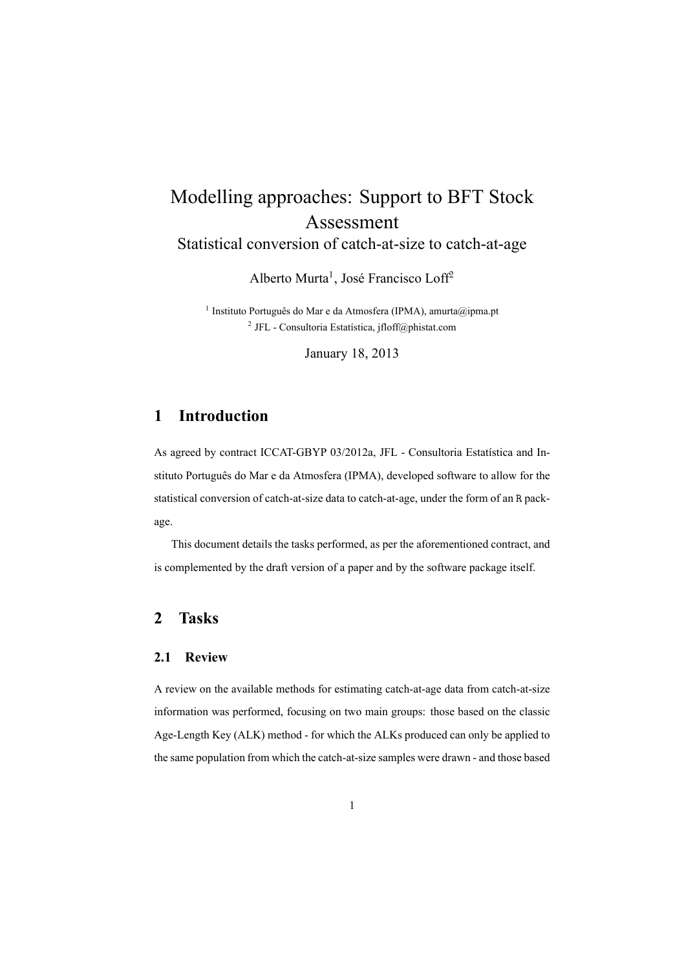# Modelling approaches: Support to BFT Stock Assessment

Statistical conversion of catch-at-size to catch-at-age

Alberto Murta<sup>1</sup>, José Francisco Loff<sup>2</sup>

<sup>1</sup> Instituto Português do Mar e da Atmosfera (IPMA), amurta@ipma.pt 2 JFL - Consultoria Estatística, jfloff@phistat.com

January 18, 2013

## **1 Introduction**

As agreed by contract ICCAT-GBYP 03/2012a, JFL - Consultoria Estatística and Instituto Português do Mar e da Atmosfera (IPMA), developed software to allow for the statistical conversion of catch-at-size data to catch-at-age, under the form of an R package.

This document details the tasks performed, as per the aforementioned contract, and is complemented by the draft version of a paper and by the software package itself.

## **2 Tasks**

#### **2.1 Review**

A review on the available methods for estimating catch-at-age data from catch-at-size information was performed, focusing on two main groups: those based on the classic Age-Length Key (ALK) method - for which the ALKs produced can only be applied to the same population from which the catch-at-size samples were drawn - and those based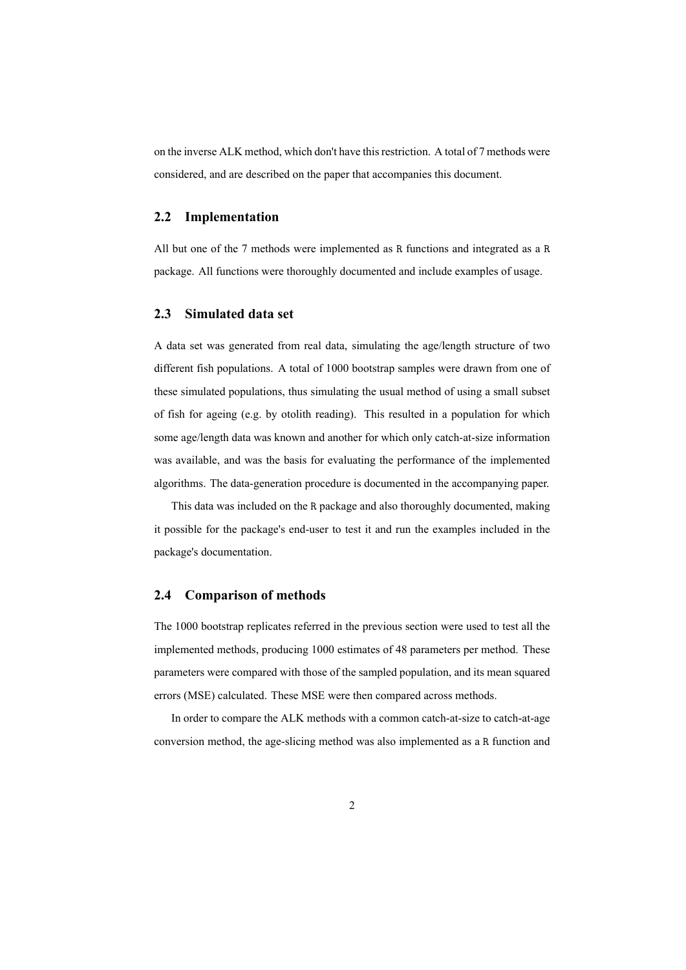on the inverse ALK method, which don't have this restriction. A total of 7 methods were considered, and are described on the paper that accompanies this document.

#### **2.2 Implementation**

All but one of the 7 methods were implemented as R functions and integrated as a R package. All functions were thoroughly documented and include examples of usage.

### **2.3 Simulated data set**

A data set was generated from real data, simulating the age/length structure of two different fish populations. A total of 1000 bootstrap samples were drawn from one of these simulated populations, thus simulating the usual method of using a small subset of fish for ageing (e.g. by otolith reading). This resulted in a population for which some age/length data was known and another for which only catch-at-size information was available, and was the basis for evaluating the performance of the implemented algorithms. The data-generation procedure is documented in the accompanying paper.

This data was included on the R package and also thoroughly documented, making it possible for the package's end-user to test it and run the examples included in the package's documentation.

#### **2.4 Comparison of methods**

The 1000 bootstrap replicates referred in the previous section were used to test all the implemented methods, producing 1000 estimates of 48 parameters per method. These parameters were compared with those of the sampled population, and its mean squared errors (MSE) calculated. These MSE were then compared across methods.

In order to compare the ALK methods with a common catch-at-size to catch-at-age conversion method, the age-slicing method was also implemented as a R function and